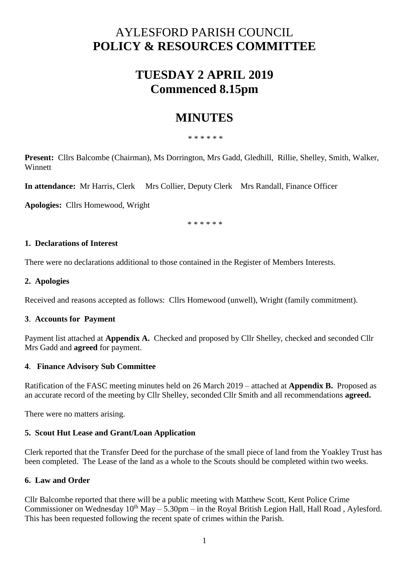# AYLESFORD PARISH COUNCIL **POLICY & RESOURCES COMMITTEE**

## **TUESDAY 2 APRIL 2019 Commenced 8.15pm**

## **MINUTES**

\* \* \* \* \* \*

**Present:** Cllrs Balcombe (Chairman), Ms Dorrington, Mrs Gadd, Gledhill, Rillie, Shelley, Smith, Walker, **Winnett** 

**In attendance:** Mr Harris, Clerk Mrs Collier, Deputy Clerk Mrs Randall, Finance Officer

**Apologies:** Cllrs Homewood, Wright

\* \* \* \* \* \*

#### **1. Declarations of Interest**

There were no declarations additional to those contained in the Register of Members Interests.

### **2. Apologies**

Received and reasons accepted as follows: Cllrs Homewood (unwell), Wright (family commitment).

#### **3**. **Accounts for Payment**

Payment list attached at **Appendix A.** Checked and proposed by Cllr Shelley, checked and seconded Cllr Mrs Gadd and **agreed** for payment.

## **4**. **Finance Advisory Sub Committee**

Ratification of the FASC meeting minutes held on 26 March 2019 – attached at **Appendix B.** Proposed as an accurate record of the meeting by Cllr Shelley, seconded Cllr Smith and all recommendations **agreed.** 

There were no matters arising.

## **5. Scout Hut Lease and Grant/Loan Application**

Clerk reported that the Transfer Deed for the purchase of the small piece of land from the Yoakley Trust has been completed. The Lease of the land as a whole to the Scouts should be completed within two weeks.

## **6. Law and Order**

Cllr Balcombe reported that there will be a public meeting with Matthew Scott, Kent Police Crime Commissioner on Wednesday  $10^{th}$  May – 5.30pm – in the Royal British Legion Hall, Hall Road, Aylesford. This has been requested following the recent spate of crimes within the Parish.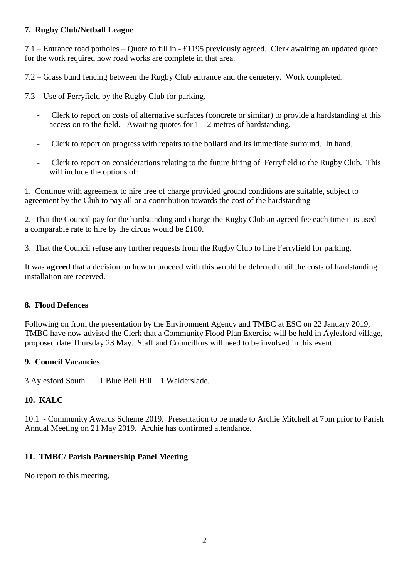## **7. Rugby Club/Netball League**

7.1 – Entrance road potholes – Quote to fill in - £1195 previously agreed. Clerk awaiting an updated quote for the work required now road works are complete in that area.

7.2 – Grass bund fencing between the Rugby Club entrance and the cemetery. Work completed.

7.3 – Use of Ferryfield by the Rugby Club for parking.

- Clerk to report on costs of alternative surfaces (concrete or similar) to provide a hardstanding at this access on to the field. Awaiting quotes for  $1 - 2$  metres of hardstanding.
- Clerk to report on progress with repairs to the bollard and its immediate surround. In hand.
- Clerk to report on considerations relating to the future hiring of Ferryfield to the Rugby Club. This will include the options of:

1. Continue with agreement to hire free of charge provided ground conditions are suitable, subject to agreement by the Club to pay all or a contribution towards the cost of the hardstanding

2. That the Council pay for the hardstanding and charge the Rugby Club an agreed fee each time it is used – a comparable rate to hire by the circus would be £100.

3. That the Council refuse any further requests from the Rugby Club to hire Ferryfield for parking.

It was **agreed** that a decision on how to proceed with this would be deferred until the costs of hardstanding installation are received.

#### **8. Flood Defences**

Following on from the presentation by the Environment Agency and TMBC at ESC on 22 January 2019, TMBC have now advised the Clerk that a Community Flood Plan Exercise will be held in Aylesford village, proposed date Thursday 23 May. Staff and Councillors will need to be involved in this event.

#### **9. Council Vacancies**

3 Aylesford South 1 Blue Bell Hill 1 Walderslade.

#### **10. KALC**

10.1 - Community Awards Scheme 2019. Presentation to be made to Archie Mitchell at 7pm prior to Parish Annual Meeting on 21 May 2019. Archie has confirmed attendance.

## **11. TMBC/ Parish Partnership Panel Meeting**

No report to this meeting.